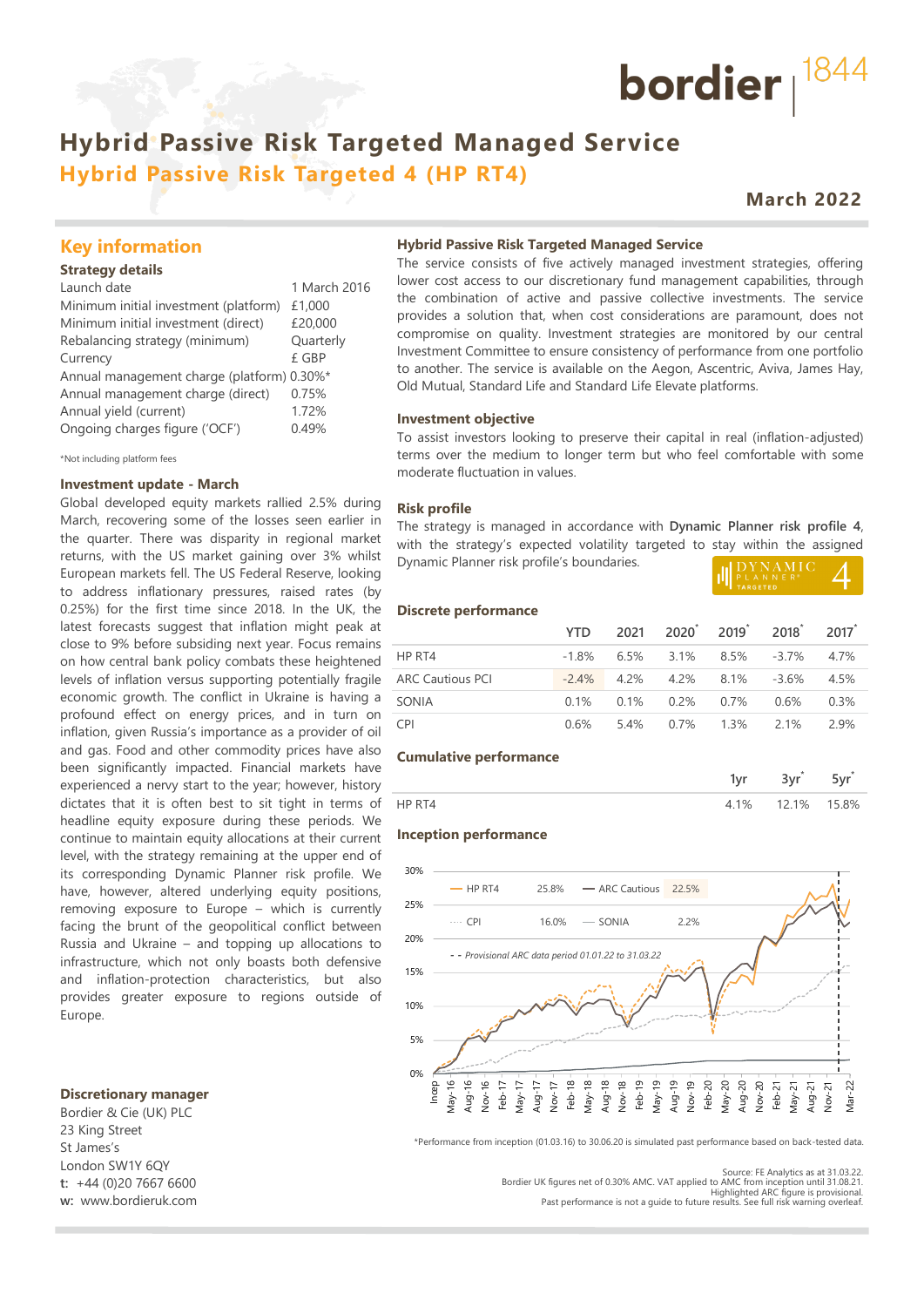# **Hybrid Passive Risk Targeted 4 (HP RT4)**

#### **March 2022**

bordier  $1844$ 

#### **Key information**

#### **Strategy details**

| Launch date                                | 1 March 2016 |
|--------------------------------------------|--------------|
| Minimum initial investment (platform)      | £1,000       |
| Minimum initial investment (direct)        | £20,000      |
| Rebalancing strategy (minimum)             | Quarterly    |
| Currency                                   | £ GBP        |
| Annual management charge (platform) 0.30%* |              |
| Annual management charge (direct)          | 0.75%        |
| Annual yield (current)                     | 1.72%        |
| Ongoing charges figure ('OCF')             | 0.49%        |
|                                            |              |

\*Not including platform fees

#### **Investment update - March**

Global developed equity markets rallied 2.5% during March, recovering some of the losses seen earlier in the quarter. There was disparity in regional market returns, with the US market gaining over 3% whilst European markets fell. The US Federal Reserve, looking to address inflationary pressures, raised rates (by 0.25%) for the first time since 2018. In the UK, the latest forecasts suggest that inflation might peak at close to 9% before subsiding next year. Focus remains on how central bank policy combats these heightened levels of inflation versus supporting potentially fragile economic growth. The conflict in Ukraine is having a profound effect on energy prices, and in turn on inflation, given Russia's importance as a provider of oil and gas. Food and other commodity prices have also been significantly impacted. Financial markets have experienced a nervy start to the year; however, history dictates that it is often best to sit tight in terms of headline equity exposure during these periods. We continue to maintain equity allocations at their current level, with the strategy remaining at the upper end of its corresponding Dynamic Planner risk profile. We have, however, altered underlying equity positions, removing exposure to Europe – which is currently facing the brunt of the geopolitical conflict between Russia and Ukraine – and topping up allocations to infrastructure, which not only boasts both defensive and inflation-protection characteristics, but also provides greater exposure to regions outside of Europe. **Hybrid Passive Risk Targeted Managed Service<br>
<b>Ky** information<br> **Ky** information<br> **Ky** information<br> **Ky** information<br> **Ky** information<br> **Example Risk Targeted Managed Service**<br> **Example Risk Targeted Managed Service**<br> **E** 

#### **Discretionary manager**

Bordier & Cie (UK) PLC 23 King Street St James's London SW1Y 6QY **t:** +44 (0)20 7667 6600 **w:** www.bordieruk.com **Hybrid Passive Risk Targeted Managed Service**

The service consists of five actively managed investment strategies, offering lower cost access to our discretionary fund management capabilities, through the combination of active and passive collective investments. The service provides a solution that, when cost considerations are paramount, does not compromise on quality. Investment strategies are monitored by our central Investment Committee to ensure consistency of performance from one portfolio to another. The service is available on the Aegon, Ascentric, Aviva, James Hay, Old Mutual, Standard Life and Standard Life Elevate platforms.

#### **Investment objective**

To assist investors looking to preserve their capital in real (inflation-adjusted) terms over the medium to longer term but who feel comfortable with some moderate fluctuation in values.

#### **Risk profile**

The strategy is managed in accordance with **Dynamic Planner risk profile 4**, with the strategy's expected volatility targeted to stay within the assigned Dynamic Planner risk profile's boundaries.

| <b>ILLEX NAMIC</b> |  |
|--------------------|--|
| <b>TARGETED</b>    |  |

#### **Discrete performance**

|                         | <b>YTD</b> |                                  | 2021 2020 2019 2018 2017              |      |
|-------------------------|------------|----------------------------------|---------------------------------------|------|
| HP RT4                  |            |                                  | $-1.8\%$ 6.5% 3.1% 8.5% $-3.7\%$ 4.7% |      |
| <b>ARC Cautious PCI</b> |            | $-2.4\%$ 4.2% 4.2% 8.1% $-3.6\%$ |                                       | 4.5% |
| SONIA                   |            | $0.1\%$ $0.1\%$ $0.2\%$ $0.7\%$  | 0.6%                                  | 0.3% |
| <b>CPI</b>              | 0.6%       | 5.4% 0.7% 1.3% 2.1%              |                                       | 29%  |

#### **Cumulative performance**

| $-$   | 150   |       |
|-------|-------|-------|
| $1\%$ | 12 1% | 15.8% |

#### **Inception performance**



\*Performance from inception (01.03.16) to 30.06.20 is simulated past performance based on back-tested data.

Bordier UK figures net of 0.30% AMC. VAT applied to AMC from inception until 31.08.21.<br>Highlighted ARC figure is provisional.<br>Past performance is not a quide to future results. See full risk warning overleaf.

Source: FE Analytics as at 31.03.22.